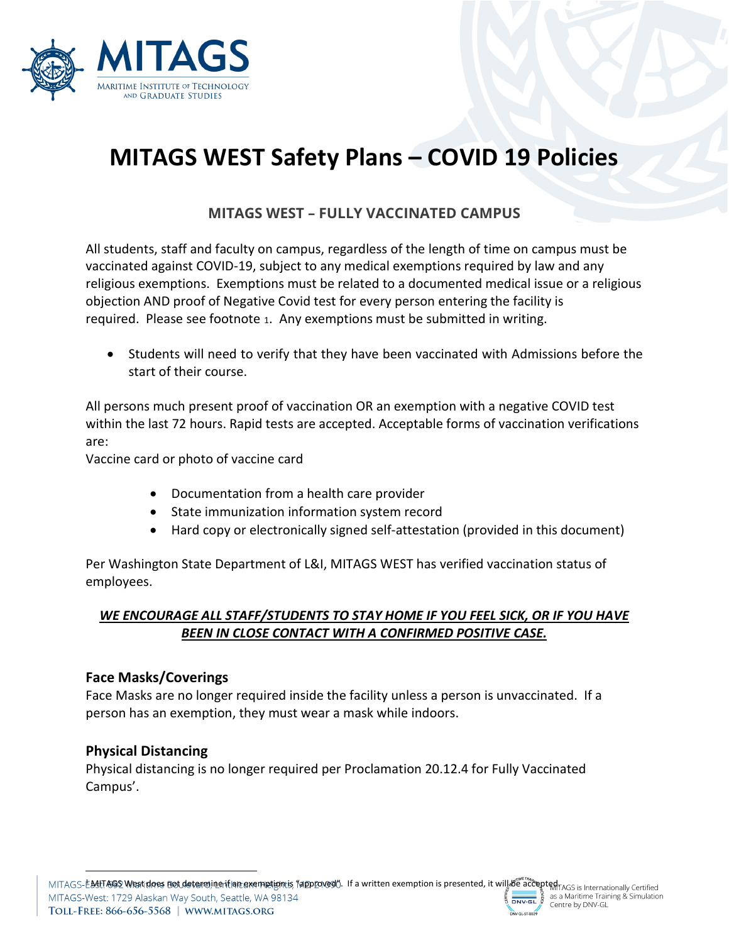

# **MITAGS WEST Safety Plans – COVID 19 Policies**

# **MITAGS WEST – FULLY VACCINATED CAMPUS**

All students, staff and faculty on campus, regardless of the length of time on campus must be vaccinated against COVID-19, subject to any medical exemptions required by law and any religious exemptions. Exemptions must be related to a documented medical issue or a religious objection AND proof of Negative Covid test for every person entering the facility is required. Please see footnote [1](#page-0-0). Any exemptions must be submitted in writing.

• Students will need to verify that they have been vaccinated with Admissions before the start of their course.

All persons much present proof of vaccination OR an exemption with a negative COVID test within the last 72 hours. Rapid tests are accepted. Acceptable forms of vaccination verifications are:

Vaccine card or photo of vaccine card

- Documentation from a health care provider
- State immunization information system record
- Hard copy or electronically signed self-attestation (provided in this document)

Per Washington State Department of L&I, MITAGS WEST has verified vaccination status of employees.

## *WE ENCOURAGE ALL STAFF/STUDENTS TO STAY HOME IF YOU FEEL SICK, OR IF YOU HAVE BEEN IN CLOSE CONTACT WITH A CONFIRMED POSITIVE CASE.*

## **Face Masks/Coverings**

Face Masks are no longer required inside the facility unless a person is unvaccinated. If a person has an exemption, they must wear a mask while indoors.

## **Physical Distancing**

<span id="page-0-0"></span>Physical distancing is no longer required per Proclamation 20.12.4 for Fully Vaccinated Campus'.

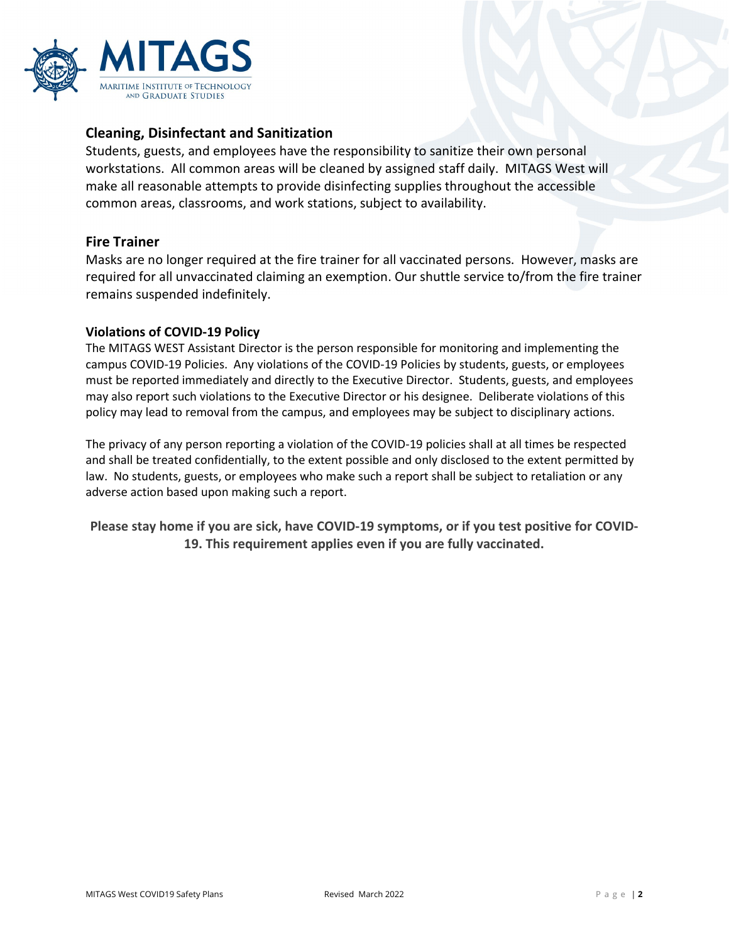

### **Cleaning, Disinfectant and Sanitization**

Students, guests, and employees have the responsibility to sanitize their own personal workstations. All common areas will be cleaned by assigned staff daily. MITAGS West will make all reasonable attempts to provide disinfecting supplies throughout the accessible common areas, classrooms, and work stations, subject to availability.

#### **Fire Trainer**

Masks are no longer required at the fire trainer for all vaccinated persons. However, masks are required for all unvaccinated claiming an exemption. Our shuttle service to/from the fire trainer remains suspended indefinitely.

#### **Violations of COVID-19 Policy**

The MITAGS WEST Assistant Director is the person responsible for monitoring and implementing the campus COVID-19 Policies. Any violations of the COVID-19 Policies by students, guests, or employees must be reported immediately and directly to the Executive Director. Students, guests, and employees may also report such violations to the Executive Director or his designee. Deliberate violations of this policy may lead to removal from the campus, and employees may be subject to disciplinary actions.

The privacy of any person reporting a violation of the COVID-19 policies shall at all times be respected and shall be treated confidentially, to the extent possible and only disclosed to the extent permitted by law. No students, guests, or employees who make such a report shall be subject to retaliation or any adverse action based upon making such a report.

**Please stay home if you are sick, have COVID-19 symptoms, or if you test positive for COVID-19. This requirement applies even if you are fully vaccinated.**